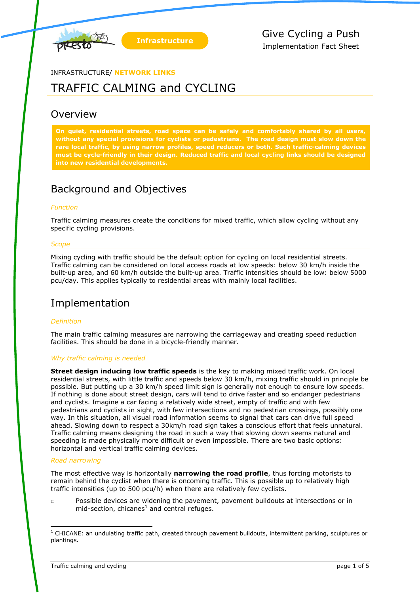

#### INFRASTRUCTURE/ **NETWORK LINKS**

# TRAFFIC CALMING and CYCLING

### Overview

**On quiet, residential streets, road space can be safely and comfortably shared by all users, without any special provisions for cyclists or pedestrians. The road design must slow down the rare local traffic, by using narrow profiles, speed reducers or both. Such traffic-calming devices must be cycle-friendly in their design. Reduced traffic and local cycling links should be designed into new residential developments.**

## Background and Objectives

#### *Function*

Traffic calming measures create the conditions for mixed traffic, which allow cycling without any specific cycling provisions.

#### *Scope*

Mixing cycling with traffic should be the default option for cycling on local residential streets. Traffic calming can be considered on local access roads at low speeds: below 30 km/h inside the built-up area, and 60 km/h outside the built-up area. Traffic intensities should be low: below 5000 pcu/day. This applies typically to residential areas with mainly local facilities.

### Implementation

#### *Definition*

The main traffic calming measures are narrowing the carriageway and creating speed reduction facilities. This should be done in a bicycle-friendly manner.

#### *Why traffic calming is needed*

**Street design inducing low traffic speeds** is the key to making mixed traffic work. On local residential streets, with little traffic and speeds below 30 km/h, mixing traffic should in principle be possible. But putting up a 30 km/h speed limit sign is generally not enough to ensure low speeds. If nothing is done about street design, cars will tend to drive faster and so endanger pedestrians and cyclists. Imagine a car facing a relatively wide street, empty of traffic and with few pedestrians and cyclists in sight, with few intersections and no pedestrian crossings, possibly one way. In this situation, all visual road information seems to signal that cars can drive full speed ahead. Slowing down to respect a 30km/h road sign takes a conscious effort that feels unnatural. Traffic calming means designing the road in such a way that slowing down seems natural and speeding is made physically more difficult or even impossible. There are two basic options: horizontal and vertical traffic calming devices.

#### *Road narrowing*

-

The most effective way is horizontally **narrowing the road profile**, thus forcing motorists to remain behind the cyclist when there is oncoming traffic. This is possible up to relatively high traffic intensities (up to 500 pcu/h) when there are relatively few cyclists.

□ Possible devices are widening the pavement, pavement buildouts at intersections or in mid-section, chicanes<sup>1</sup> and central refuges.

 $1$  CHICANE: an undulating traffic path, created through pavement buildouts, intermittent parking, sculptures or plantings.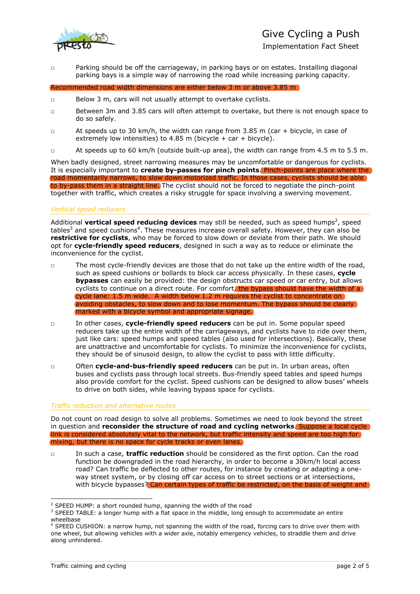

Implementation Fact Sheet

□ Parking should be off the carriageway, in parking bays or on estates. Installing diagonal parking bays is a simple way of narrowing the road while increasing parking capacity.

Recommended road width dimensions are either below 3 m or above 3.85 m

- □ Below 3 m, cars will not usually attempt to overtake cyclists.
- □ Between 3m and 3.85 cars will often attempt to overtake, but there is not enough space to do so safely.
- □ At speeds up to 30 km/h, the width can range from 3.85 m (car + bicycle, in case of extremely low intensities) to 4.85 m (bicycle + car + bicycle).
- □ At speeds up to 60 km/h (outside built-up area), the width can range from 4.5 m to 5.5 m.

When badly designed, street narrowing measures may be uncomfortable or dangerous for cyclists. It is especially important to **create by-passes for pinch points**. Pinch-points are place where the road momentarily narrows, to slow down motorized traffic. In those cases, cyclists should be able to by-pass them in a straight line. The cyclist should not be forced to negotiate the pinch-point together with traffic, which creates a risky struggle for space involving a swerving movement.

#### *Vertical speed reducers*

Additional **vertical speed reducing devices** may still be needed, such as speed humps<sup>2</sup>, speed tables<sup>3</sup> and speed cushions<sup>4</sup>. These measures increase overall safety. However, they can also be **restrictive for cyclists**, who may be forced to slow down or deviate from their path. We should opt for **cycle-friendly speed reducers**, designed in such a way as to reduce or eliminate the inconvenience for the cyclist.

- □ The most cycle-friendly devices are those that do not take up the entire width of the road, such as speed cushions or bollards to block car access physically. In these cases, **cycle bypasses** can easily be provided: the design obstructs car speed or car entry, but allows cyclists to continue on a direct route. For comfort, the bypass should have the width of a cycle lane: 1.5 m wide. A width below 1.2 m requires the cyclist to concentrate on avoiding obstacles, to slow down and to lose momentum. The bypass should be clearly marked with a bicycle symbol and appropriate signage.
- □ In other cases, **cycle-friendly speed reducers** can be put in. Some popular speed reducers take up the entire width of the carriageways, and cyclists have to ride over them, just like cars: speed humps and speed tables (also used for intersections). Basically, these are unattractive and uncomfortable for cyclists. To minimize the inconvenience for cyclists, they should be of sinusoid design, to allow the cyclist to pass with little difficulty.
- □ Often **cycle-and-bus-friendly speed reducers** can be put in. In urban areas, often buses and cyclists pass through local streets. Bus-friendly speed tables and speed humps also provide comfort for the cyclist. Speed cushions can be designed to allow buses' wheels to drive on both sides, while leaving bypass space for cyclists.

#### *Traffic reduction and alternative routes*

Do not count on road design to solve all problems. Sometimes we need to look beyond the street in question and **reconsider the structure of road and cycling networks**. Suppose a local cycle link is considered absolutely vital to the network, but traffic intensity and speed are too high for mixing, but there is no space for cycle tracks or even lanes.

□ In such a case, **traffic reduction** should be considered as the first option. Can the road function be downgraded in the road hierarchy, in order to become a 30km/h local access road? Can traffic be deflected to other routes, for instance by creating or adapting a oneway street system, or by closing off car access on to street sections or at intersections, with bicycle bypasses? Can certain types of traffic be restricted, on the basis of weight and

-

 $2$  SPEED HUMP: a short rounded hump, spanning the width of the road

 $3$  SPEED TABLE: a longer hump with a flat space in the middle, long enough to accommodate an entire wheelbase

<sup>&</sup>lt;sup>4</sup> SPEED CUSHION: a narrow hump, not spanning the width of the road, forcing cars to drive over them with one wheel, but allowing vehicles with a wider axle, notably emergency vehicles, to straddle them and drive along unhindered.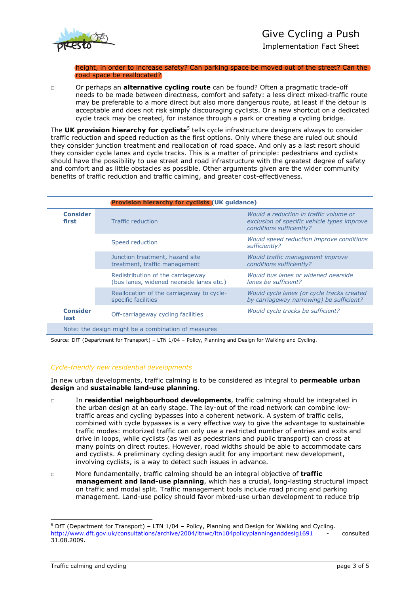

Implementation Fact Sheet

height, in order to increase safety? Can parking space be moved out of the street? Can the road space be reallocated?

□ Or perhaps an **alternative cycling route** can be found? Often a pragmatic trade-off needs to be made between directness, comfort and safety: a less direct mixed-traffic route may be preferable to a more direct but also more dangerous route, at least if the detour is acceptable and does not risk simply discouraging cyclists. Or a new shortcut on a dedicated cycle track may be created, for instance through a park or creating a cycling bridge.

The **UK provision hierarchy for cyclists**<sup>5</sup> tells cycle infrastructure designers always to consider traffic reduction and speed reduction as the first options. Only where these are ruled out should they consider junction treatment and reallocation of road space. And only as a last resort should they consider cycle lanes and cycle tracks. This is a matter of principle: pedestrians and cyclists should have the possibility to use street and road infrastructure with the greatest degree of safety and comfort and as little obstacles as possible. Other arguments given are the wider community benefits of traffic reduction and traffic calming, and greater cost-effectiveness.

| <b>Provision hierarchy for cyclists (UK quidance)</b> |                                                                               |                                                                                                                   |
|-------------------------------------------------------|-------------------------------------------------------------------------------|-------------------------------------------------------------------------------------------------------------------|
| <b>Consider</b><br>first                              | <b>Traffic reduction</b>                                                      | Would a reduction in traffic volume or<br>exclusion of specific vehicle types improve<br>conditions sufficiently? |
|                                                       | Speed reduction                                                               | Would speed reduction improve conditions<br>sufficiently?                                                         |
|                                                       | Junction treatment, hazard site<br>treatment, traffic management              | Would traffic management improve<br>conditions sufficiently?                                                      |
|                                                       | Redistribution of the carriageway<br>(bus lanes, widened nearside lanes etc.) | Would bus lanes or widened nearside<br>lanes be sufficient?                                                       |
|                                                       | Reallocation of the carriageway to cycle-<br>specific facilities              | Would cycle lanes (or cycle tracks created<br>by carriageway narrowing) be sufficient?                            |
| <b>Consider</b><br>last                               | Off-carriageway cycling facilities                                            | Would cycle tracks be sufficient?                                                                                 |
| Note: the design might be a combination of measures   |                                                                               |                                                                                                                   |

Source: DfT (Department for Transport) – LTN 1/04 – Policy, Planning and Design for Walking and Cycling.

#### *Cycle-friendly new residential developments*

In new urban developments, traffic calming is to be considered as integral to **permeable urban design** and **sustainable land-use planning**.

- □ In **residential neighbourhood developments**, traffic calming should be integrated in the urban design at an early stage. The lay-out of the road network can combine lowtraffic areas and cycling bypasses into a coherent network. A system of traffic cells, combined with cycle bypasses is a very effective way to give the advantage to sustainable traffic modes: motorized traffic can only use a restricted number of entries and exits and drive in loops, while cyclists (as well as pedestrians and public transport) can cross at many points on direct routes. However, road widths should be able to accommodate cars and cyclists. A preliminary cycling design audit for any important new development, involving cyclists, is a way to detect such issues in advance.
- □ More fundamentally, traffic calming should be an integral objective of **traffic management and land-use planning**, which has a crucial, long-lasting structural impact on traffic and modal split. Traffic management tools include road pricing and parking management. Land-use policy should favor mixed-use urban development to reduce trip

-

<sup>5</sup> DfT (Department for Transport) – LTN 1/04 – Policy, Planning and Design for Walking and Cycling. <http://www.dft.gov.uk/consultations/archive/2004/ltnwc/ltn104policyplanninganddesig1691> consulted 31.08.2009.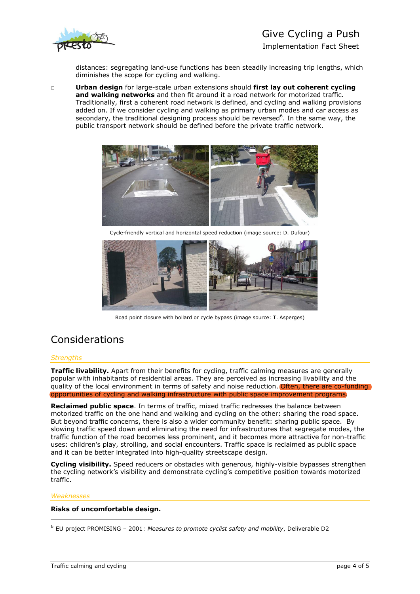

# Give Cycling a Push

Implementation Fact Sheet

distances: segregating land-use functions has been steadily increasing trip lengths, which diminishes the scope for cycling and walking.

□ **Urban design** for large-scale urban extensions should **first lay out coherent cycling and walking networks** and then fit around it a road network for motorized traffic. Traditionally, first a coherent road network is defined, and cycling and walking provisions added on. If we consider cycling and walking as primary urban modes and car access as secondary, the traditional designing process should be reversed<sup>6</sup>. In the same way, the public transport network should be defined before the private traffic network.



Cycle-friendly vertical and horizontal speed reduction (image source: D. Dufour)



Road point closure with bollard or cycle bypass (image source: T. Asperges)

## Considerations

#### *Strengths*

**Traffic livability.** Apart from their benefits for cycling, traffic calming measures are generally popular with inhabitants of residential areas. They are perceived as increasing livability and the quality of the local environment in terms of safety and noise reduction. Often, there are co-funding opportunities of cycling and walking infrastructure with public space improvement programs.

**Reclaimed public space**. In terms of traffic, mixed traffic redresses the balance between motorized traffic on the one hand and walking and cycling on the other: sharing the road space. But beyond traffic concerns, there is also a wider community benefit: sharing public space. By slowing traffic speed down and eliminating the need for infrastructures that segregate modes, the traffic function of the road becomes less prominent, and it becomes more attractive for non-traffic uses: children's play, strolling, and social encounters. Traffic space is reclaimed as public space and it can be better integrated into high-quality streetscape design.

**Cycling visibility.** Speed reducers or obstacles with generous, highly-visible bypasses strengthen the cycling network's visibility and demonstrate cycling's competitive position towards motorized traffic.

#### *Weaknesses*

-

#### **Risks of uncomfortable design.**

<sup>6</sup> EU project PROMISING – 2001: *Measures to promote cyclist safety and mobility*, Deliverable D2